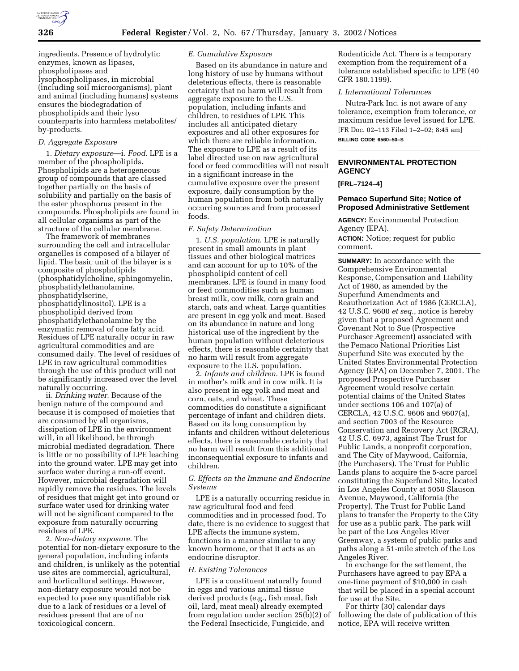ingredients. Presence of hydrolytic enzymes, known as lipases, phospholipases and lysophospholipases, in microbial (including soil microorganisms), plant and animal (including humans) systems ensures the biodegradation of phospholipids and their lyso counterparts into harmless metabolites/ by-products.

#### *D. Aggregate Exposure*

1. *Dietary exposure*—i. *Food*. LPE is a member of the phospholipids. Phospholipids are a heterogeneous group of compounds that are classed together partially on the basis of solubility and partially on the basis of the ester phosphorus present in the compounds. Phospholipids are found in all cellular organisms as part of the structure of the cellular membrane.

The framework of membranes surrounding the cell and intracellular organelles is composed of a bilayer of lipid. The basic unit of the bilayer is a composite of phospholipids (phosphatidylcholine, sphingomyelin, phosphatidylethanolamine, phosphatidylserine, phosphatidylinositol). LPE is a phospholipid derived from phosphatidylethanolamine by the enzymatic removal of one fatty acid. Residues of LPE naturally occur in raw agricultural commodities and are consumed daily. The level of residues of LPE in raw agricultural commodities through the use of this product will not be significantly increased over the level naturally occurring.

ii. *Drinking water*. Because of the benign nature of the compound and because it is composed of moieties that are consumed by all organisms, dissipation of LPE in the environment will, in all likelihood, be through microbial mediated degradation. There is little or no possibility of LPE leaching into the ground water. LPE may get into surface water during a run-off event. However, microbial degradation will rapidly remove the residues. The levels of residues that might get into ground or surface water used for drinking water will not be significant compared to the exposure from naturally occurring residues of LPE.

2. *Non-dietary exposure*. The potential for non-dietary exposure to the general population, including infants and children, is unlikely as the potential use sites are commercial, agricultural, and horticultural settings. However, non-dietary exposure would not be expected to pose any quantifiable risk due to a lack of residues or a level of residues present that are of no toxicological concern.

### *E. Cumulative Exposure*

Based on its abundance in nature and long history of use by humans without deleterious effects, there is reasonable certainty that no harm will result from aggregate exposure to the U.S. population, including infants and children, to residues of LPE. This includes all anticipated dietary exposures and all other exposures for which there are reliable information. The exposure to LPE as a result of its label directed use on raw agricultural food or feed commodities will not result in a significant increase in the cumulative exposure over the present exposure, daily consumption by the human population from both naturally occurring sources and from processed foods.

## *F. Safety Determination*

1. *U.S. population*. LPE is naturally present in small amounts in plant tissues and other biological matrices and can account for up to 10% of the phospholipid content of cell membranes. LPE is found in many food or feed commodities such as human breast milk, cow milk, corn grain and starch, oats and wheat. Large quantities are present in egg yolk and meat. Based on its abundance in nature and long historical use of the ingredient by the human population without deleterious effects, there is reasonable certainty that no harm will result from aggregate exposure to the U.S. population.

2. *Infants and children*. LPE is found in mother's milk and in cow milk. It is also present in egg yolk and meat and corn, oats, and wheat. These commodities do constitute a significant percentage of infant and children diets. Based on its long consumption by infants and children without deleterious effects, there is reasonable certainty that no harm will result from this additional inconsequential exposure to infants and children.

# *G. Effects on the Immune and Endocrine Systems*

LPE is a naturally occurring residue in raw agricultural food and feed commodities and in processed food. To date, there is no evidence to suggest that LPE affects the immune system, functions in a manner similar to any known hormone, or that it acts as an endocrine disruptor.

#### *H. Existing Tolerances*

LPE is a constituent naturally found in eggs and various animal tissue derived products (e.g., fish meal, fish oil, lard, meat meal) already exempted from regulation under section 25(b)(2) of the Federal Insecticide, Fungicide, and

Rodenticide Act. There is a temporary exemption from the requirement of a tolerance established specific to LPE (40 CFR 180.1199).

# *I. International Tolerances*

Nutra-Park Inc. is not aware of any tolerance, exemption from tolerance, or maximum residue level issued for LPE. [FR Doc. 02–113 Filed 1–2–02; 8:45 am] **BILLING CODE 6560–50–S**

# **ENVIRONMENTAL PROTECTION AGENCY**

#### **[FRL–7124–4]**

## **Pemaco Superfund Site; Notice of Proposed Administrative Settlement**

**AGENCY:** Environmental Protection Agency (EPA). **ACTION:** Notice; request for public comment.

**SUMMARY:** In accordance with the Comprehensive Environmental Response, Compensation and Liability Act of 1980, as amended by the Superfund Amendments and Reauthorization Act of 1986 (CERCLA), 42 U.S.C. 9600 *et seq.*, notice is hereby given that a proposed Agreement and Covenant Not to Sue (Prospective Purchaser Agreement) associated with the Pemaco National Priorities List Superfund Site was executed by the United States Environmental Protection Agency (EPA) on December 7, 2001. The proposed Prospective Purchaser Agreement would resolve certain potential claims of the United States under sections 106 and 107(a) of CERCLA, 42 U.S.C. 9606 and 9607(a), and section 7003 of the Resource Conservation and Recovery Act (RCRA), 42 U.S.C. 6973, against The Trust for Public Lands, a nonprofit corporation, and The City of Maywood, Caifornia, (the Purchasers). The Trust for Public Lands plans to acquire the 5-acre parcel constituting the Superfund Site, located in Los Angeles County at 5050 Slauson Avenue, Maywood, California (the Property). The Trust for Public Land plans to transfer the Property to the City for use as a public park. The park will be part of the Los Angeles River Greenway, a system of public parks and paths along a 51-mile stretch of the Los Angeles River.

In exchange for the settlement, the Purchasers have agreed to pay EPA a one-time payment of \$10,000 in cash that will be placed in a special account for use at the Site.

For thirty (30) calendar days following the date of publication of this notice, EPA will receive written